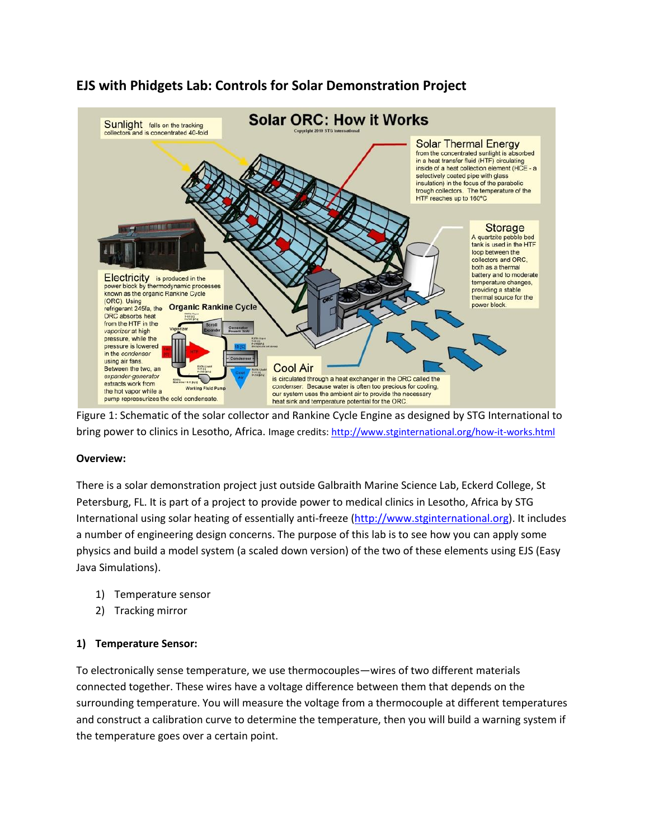

# **EJS with Phidgets Lab: Controls for Solar Demonstration Project**

Figure 1: Schematic of the solar collector and Rankine Cycle Engine as designed by STG International to bring power to clinics in Lesotho, Africa. Image credits[: http://www.stginternational.org/how-it-works.html](http://www.stginternational.org/how-it-works.html)

#### **Overview:**

There is a solar demonstration project just outside Galbraith Marine Science Lab, Eckerd College, St Petersburg, FL. It is part of a project to provide power to medical clinics in Lesotho, Africa by STG International using solar heating of essentially anti-freeze [\(http://www.stginternational.org\)](http://www.stginternational.org/). It includes a number of engineering design concerns. The purpose of this lab is to see how you can apply some physics and build a model system (a scaled down version) of the two of these elements using EJS (Easy Java Simulations).

- 1) Temperature sensor
- 2) Tracking mirror

# **1) Temperature Sensor:**

To electronically sense temperature, we use thermocouples—wires of two different materials connected together. These wires have a voltage difference between them that depends on the surrounding temperature. You will measure the voltage from a thermocouple at different temperatures and construct a calibration curve to determine the temperature, then you will build a warning system if the temperature goes over a certain point.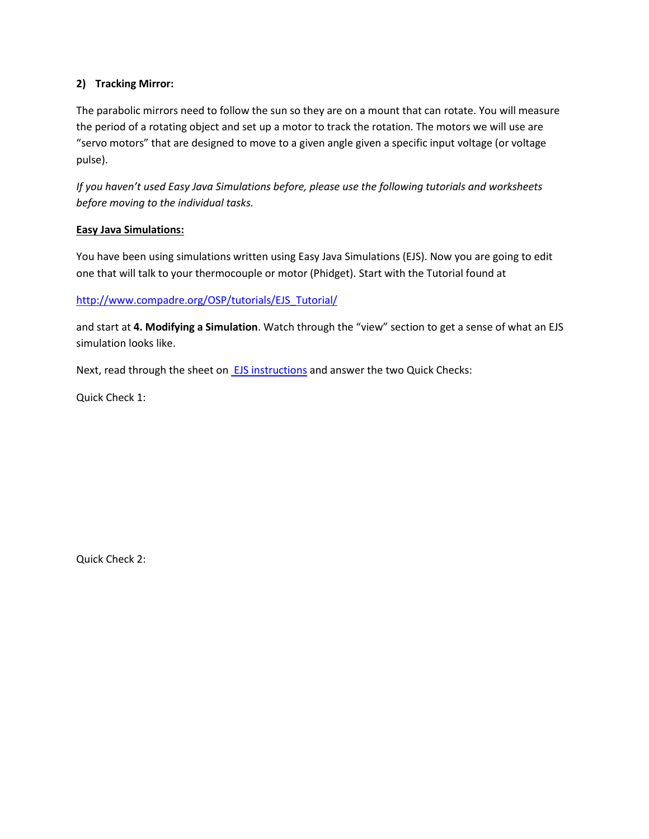# **2) Tracking Mirror:**

The parabolic mirrors need to follow the sun so they are on a mount that can rotate. You will measure the period of a rotating object and set up a motor to track the rotation. The motors we will use are "servo motors" that are designed to move to a given angle given a specific input voltage (or voltage pulse).

*If you haven't used Easy Java Simulations before, please use the following tutorials and worksheets before moving to the individual tasks.*

# **Easy Java Simulations:**

You have been using simulations written using Easy Java Simulations (EJS). Now you are going to edit one that will talk to your thermocouple or motor (Phidget). Start with the Tutorial found at

[http://www.compadre.org/OSP/tutorials/EJS\\_Tutorial/](http://www.compadre.org/OSP/tutorials/EJS_Tutorial/)

and start at **4. Modifying a Simulation**. Watch through the "view" section to get a sense of what an EJS simulation looks like.

Next, read through the sheet on **EJS** instructions and answer the two Quick Checks:

Quick Check 1:

Quick Check 2: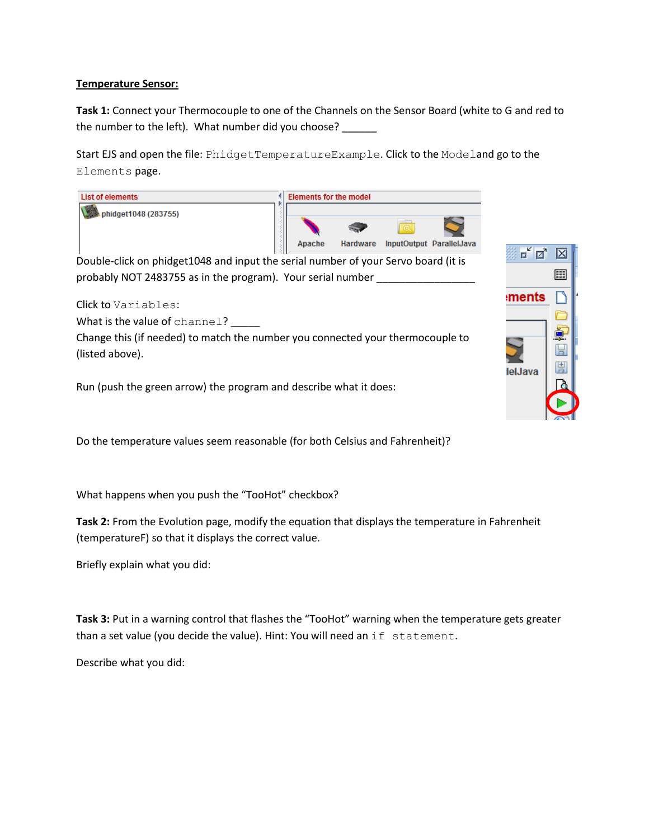#### **Temperature Sensor:**

**Task 1:** Connect your Thermocouple to one of the Channels on the Sensor Board (white to G and red to the number to the left). What number did you choose?

Start EJS and open the file: PhidgetTemperatureExample. Click to the Modeland go to the Elements page.



What happens when you push the "TooHot" checkbox?

**Task 2:** From the Evolution page, modify the equation that displays the temperature in Fahrenheit (temperatureF) so that it displays the correct value.

Briefly explain what you did:

**Task 3:** Put in a warning control that flashes the "TooHot" warning when the temperature gets greater than a set value (you decide the value). Hint: You will need an if statement.

Describe what you did: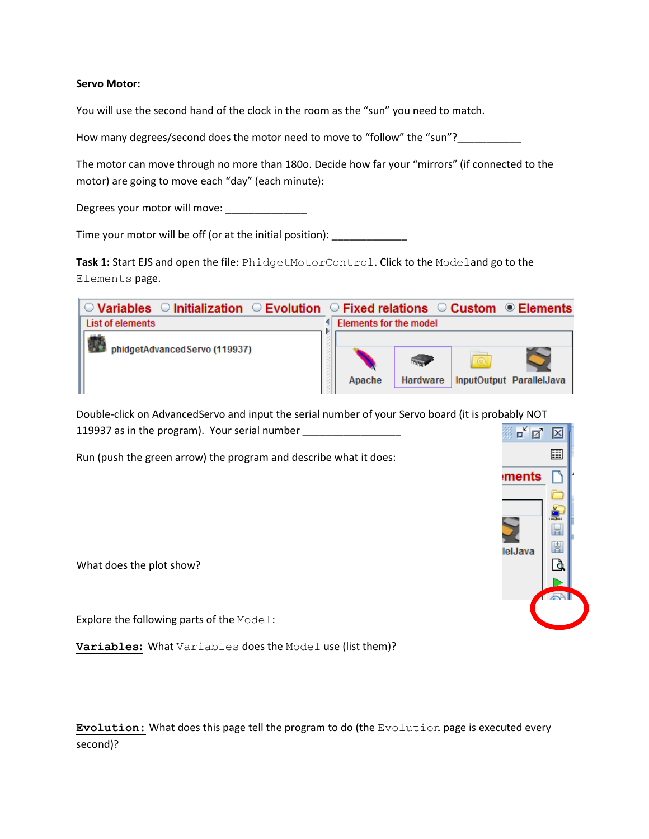#### **Servo Motor:**

You will use the second hand of the clock in the room as the "sun" you need to match.

How many degrees/second does the motor need to move to "follow" the "sun"?

The motor can move through no more than 180o. Decide how far your "mirrors" (if connected to the motor) are going to move each "day" (each minute):

Degrees your motor will move: \_\_\_\_\_\_\_\_\_\_\_\_\_\_

Time your motor will be off (or at the initial position):

**Task 1:** Start EJS and open the file: PhidgetMotorControl. Click to the Modeland go to the Elements page.

| $\circlearrowright$ Variables $\circlearrowright$ Initialization $\circlearrowright$ Evolution $\circlearrowright$ Fixed relations $\circlearrowright$ Custom | $\circledcirc$ Elements                               |
|---------------------------------------------------------------------------------------------------------------------------------------------------------------|-------------------------------------------------------|
| <b>List of elements</b>                                                                                                                                       | <b>Elements for the model</b>                         |
| phidgetAdvancedServo (119937)                                                                                                                                 | InputOutput ParallelJava<br>Apache<br><b>Hardware</b> |

Double-click on AdvancedServo and input the serial number of your Servo board (it is probably NOT 119937 as in the program). Your serial number \_\_\_\_\_\_\_\_\_\_\_\_\_\_\_\_\_\_\_\_\_\_\_\_\_\_\_\_\_\_\_\_\_\_ 羉

Run (push the green arrow) the program and describe what it does:

What does the plot show?

Explore the following parts of the Model:

**Variables:** What Variables does the Model use (list them)?

**Evolution:** What does this page tell the program to do (the Evolution page is executed every second)?

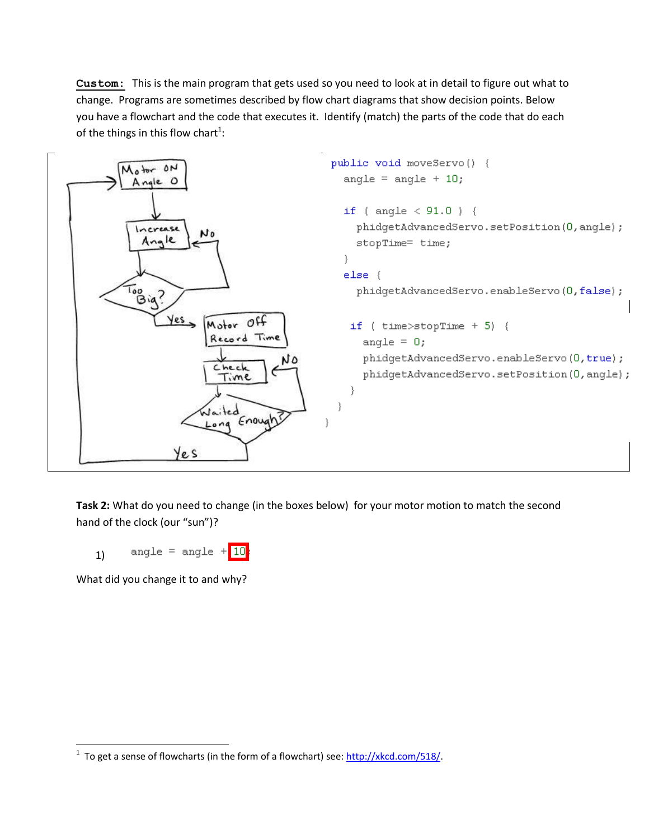**Custom:** This is the main program that gets used so you need to look at in detail to figure out what to change. Programs are sometimes described by flow chart diagrams that show decision points. Below you have a flowchart and the code that executes it. Identify (match) the parts of the code that do each of the things in this flow chart<sup>1</sup>:



**Task 2:** What do you need to change (in the boxes below) for your motor motion to match the second hand of the clock (our "sun")?



What did you change it to and why?

 $\overline{\phantom{a}}$ 

<sup>&</sup>lt;sup>1</sup> To get a sense of flowcharts (in the form of a flowchart) see: <u>http://xkcd.com/518/</u>.